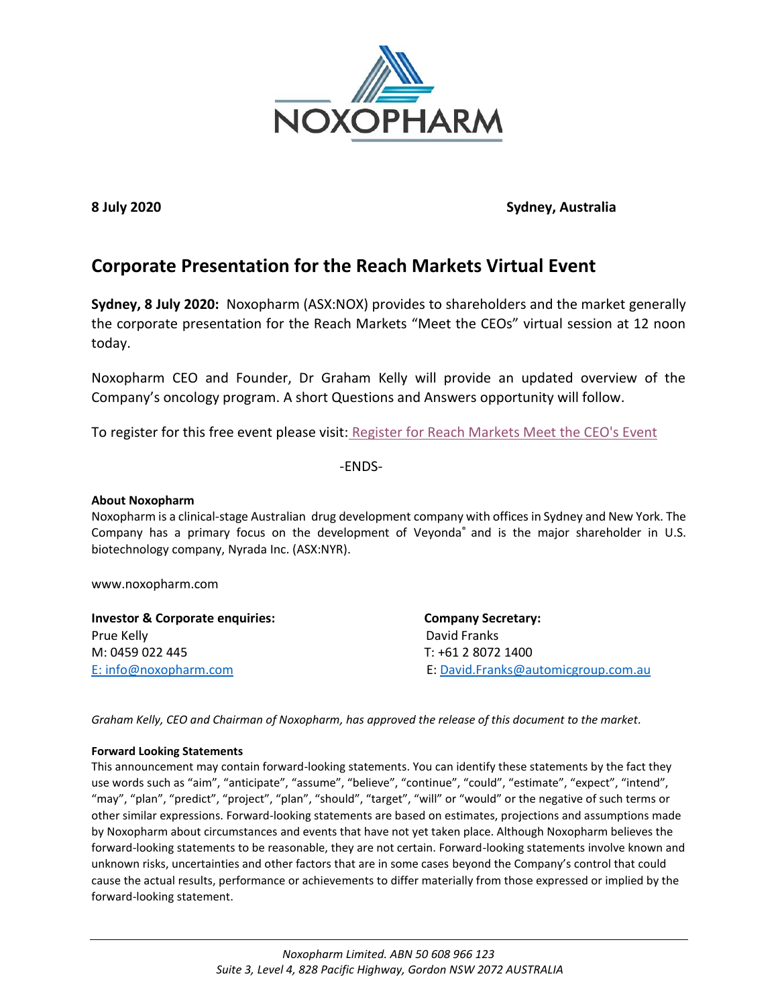

#### **8 July 2020 Sydney, Australia**

#### **Corporate Presentation for the Reach Markets Virtual Event**

**Sydney, 8 July 2020:** Noxopharm (ASX:NOX) provides to shareholders and the market generally the corporate presentation for the Reach Markets "Meet the CEOs" virtual session at 12 noon today.

Noxopharm CEO and Founder, Dr Graham Kelly will provide an updated overview of the Company's oncology program. A short Questions and Answers opportunity will follow.

To register for this free event please visit: [Register for Reach Markets Meet the CEO's Event](https://reachmarkets.com.au/meet-the-ceos-2/)

-ENDS-

#### **About Noxopharm**

Noxopharm is a clinical-stage Australian drug development company with offices in Sydney and New York. The Company has a primary focus on the development of Veyonda® and is the major shareholder in U.S. biotechnology company, Nyrada Inc. (ASX:NYR).

www.noxopharm.com

| <b>Investor &amp; Corporate enquiries:</b> | <b>Company Secretary:</b><br>David Franks |  |
|--------------------------------------------|-------------------------------------------|--|
| Prue Kelly                                 |                                           |  |
| M: 0459 022 445<br>T: +61 2 8072 1400      |                                           |  |
| E: info@noxopharm.com                      | E: David.Franks@automicgroup.com.au       |  |

*Graham Kelly, CEO and Chairman of Noxopharm, has approved the release of this document to the market.*

#### **Forward Looking Statements**

This announcement may contain forward-looking statements. You can identify these statements by the fact they use words such as "aim", "anticipate", "assume", "believe", "continue", "could", "estimate", "expect", "intend", "may", "plan", "predict", "project", "plan", "should", "target", "will" or "would" or the negative of such terms or other similar expressions. Forward-looking statements are based on estimates, projections and assumptions made by Noxopharm about circumstances and events that have not yet taken place. Although Noxopharm believes the forward-looking statements to be reasonable, they are not certain. Forward-looking statements involve known and unknown risks, uncertainties and other factors that are in some cases beyond the Company's control that could cause the actual results, performance or achievements to differ materially from those expressed or implied by the forward-looking statement.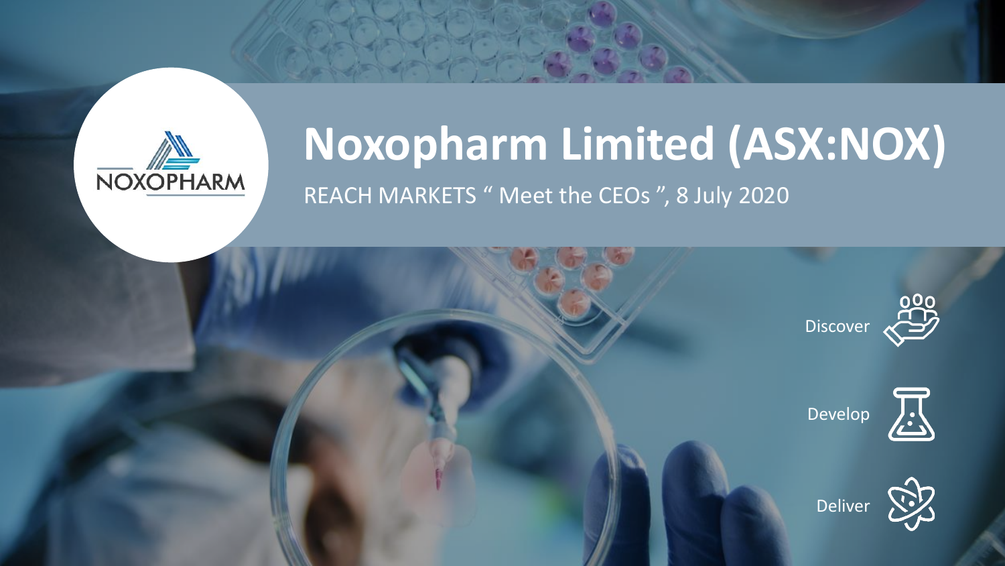

### **Noxopharm Limited (ASX:NOX)** REACH MARKETS " Meet the CEOs ", 8 July 2020

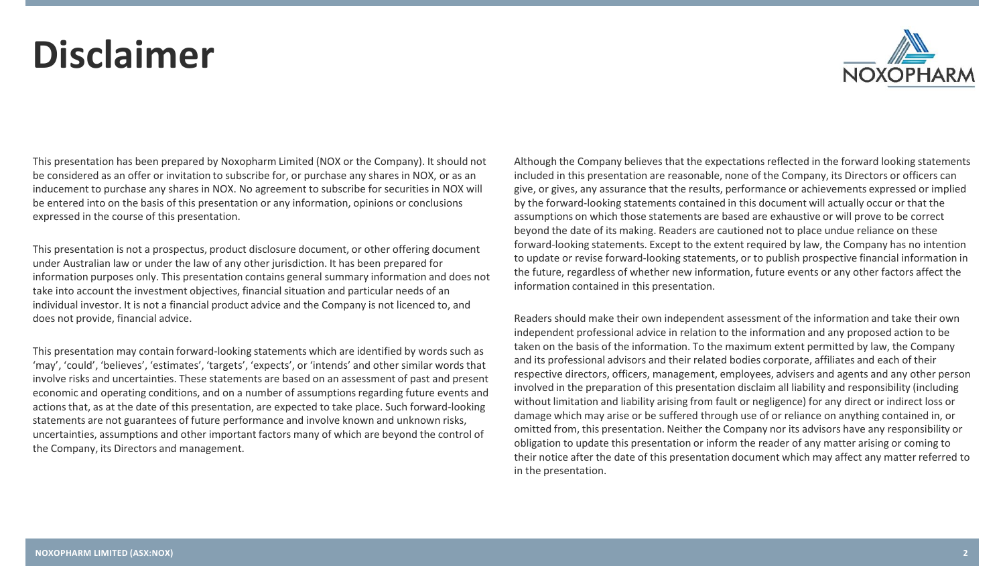### **Disclaimer**



This presentation has been prepared by Noxopharm Limited (NOX or the Company). It should not be considered as an offer or invitation to subscribe for, or purchase any shares in NOX, or as an inducement to purchase any shares in NOX. No agreement to subscribe for securities in NOX will be entered into on the basis of this presentation or any information, opinions or conclusions expressed in the course of this presentation.

This presentation is not a prospectus, product disclosure document, or other offering document under Australian law or under the law of any other jurisdiction. It has been prepared for information purposes only. This presentation contains general summary information and does not take into account the investment objectives, financial situation and particular needs of an individual investor. It is not a financial product advice and the Company is not licenced to, and does not provide, financial advice.

This presentation may contain forward-looking statements which are identified by words such as 'may', 'could', 'believes', 'estimates', 'targets', 'expects', or 'intends' and other similar words that involve risks and uncertainties. These statements are based on an assessment of past and present economic and operating conditions, and on a number of assumptions regarding future events and actions that, as at the date of this presentation, are expected to take place. Such forward-looking statements are not guarantees of future performance and involve known and unknown risks, uncertainties, assumptions and other important factors many of which are beyond the control of the Company, its Directors and management.

Although the Company believes that the expectations reflected in the forward looking statements included in this presentation are reasonable, none of the Company, its Directors or officers can give, or gives, any assurance that the results, performance or achievements expressed or implied by the forward-looking statements contained in this document will actually occur or that the assumptions on which those statements are based are exhaustive or will prove to be correct beyond the date of its making. Readers are cautioned not to place undue reliance on these forward-looking statements. Except to the extent required by law, the Company has no intention to update or revise forward-looking statements, or to publish prospective financial information in the future, regardless of whether new information, future events or any other factors affect the information contained in this presentation.

Readers should make their own independent assessment of the information and take their own independent professional advice in relation to the information and any proposed action to be taken on the basis of the information. To the maximum extent permitted by law, the Company and its professional advisors and their related bodies corporate, affiliates and each of their respective directors, officers, management, employees, advisers and agents and any other person involved in the preparation of this presentation disclaim all liability and responsibility (including without limitation and liability arising from fault or negligence) for any direct or indirect loss or damage which may arise or be suffered through use of or reliance on anything contained in, or omitted from, this presentation. Neither the Company nor its advisors have any responsibility or obligation to update this presentation or inform the reader of any matter arising or coming to their notice after the date of this presentation document which may affect any matter referred to in the presentation.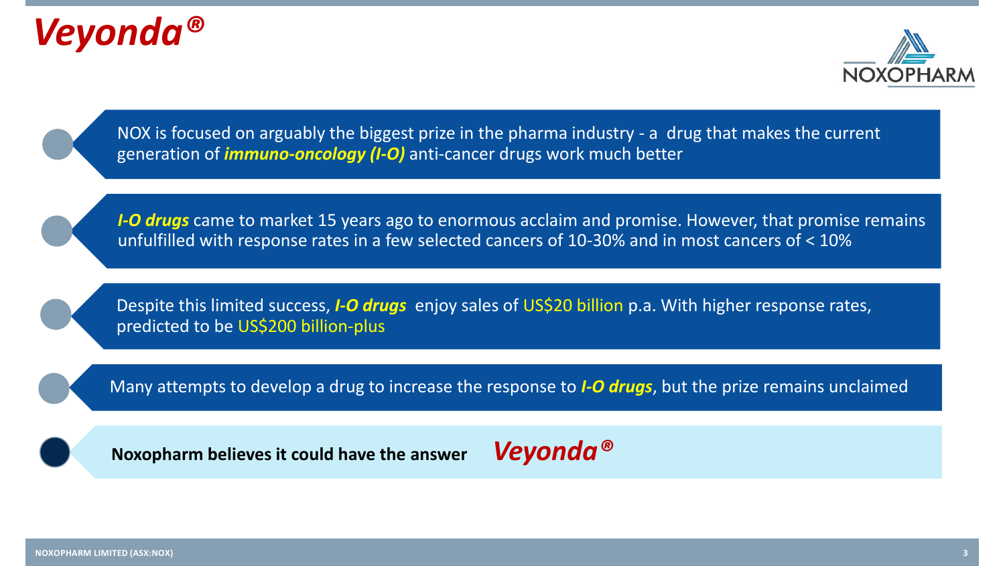





*I-O drugs* came to market 15 years ago to enormous acclaim and promise. However, that promise remains unfulfilled with response rates in a few selected cancers of 10-30% and in most cancers of < 10%

Despite this limited success, *I-O drugs* enjoy sales of US\$20 billion p.a. With higher response rates, predicted to be US\$200 billion-plus

Many attempts to develop a drug to increase the response to *I-O drugs*, but the prize remains unclaimed

**Noxopharm believes it could have the answer** *Veyonda®*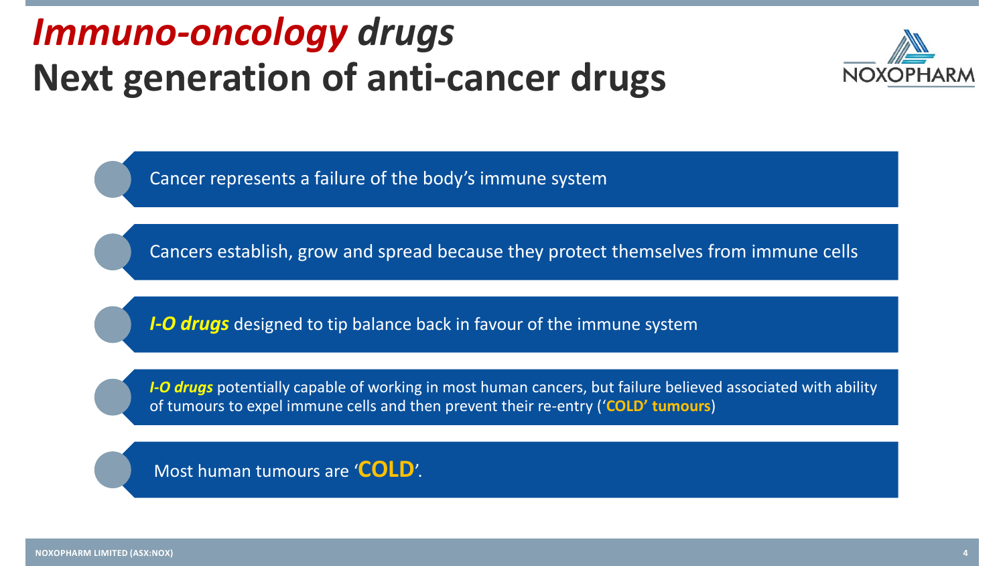### *Immuno-oncology drugs*  **Next generation of anti-cancer drugs**



Cancer represents a failure of the body's immune system

Cancers establish, grow and spread because they protect themselves from immune cells

*I-O drugs* designed to tip balance back in favour of the immune system

*I-O drugs* potentially capable of working in most human cancers, but failure believed associated with ability of tumours to expel immune cells and then prevent their re-entry ('**COLD' tumours**)

Most human tumours are '**COLD**'.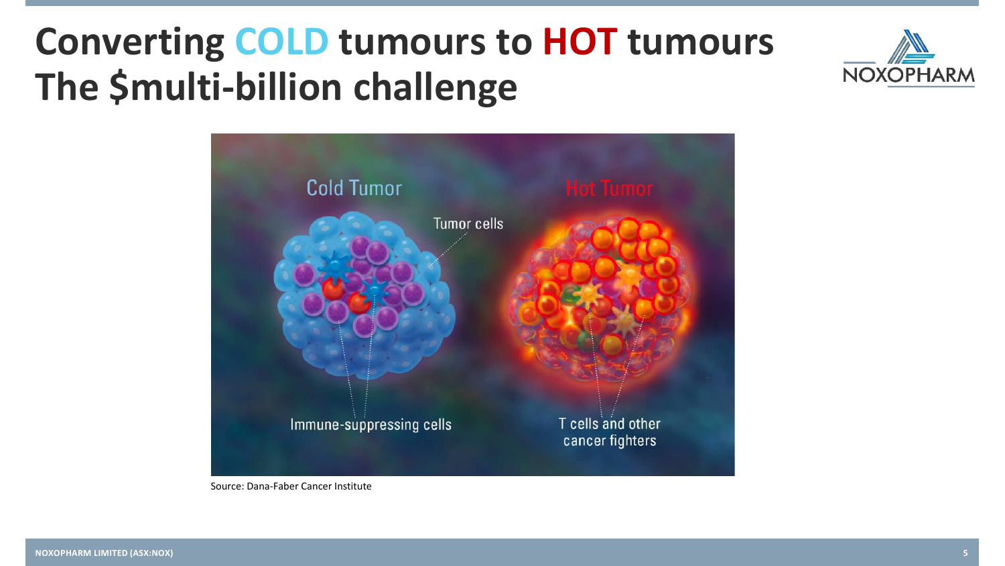### **Converting COLD tumours to HOT tumours The \$multi-billion challenge**





Source: Dana-Faber Cancer Institute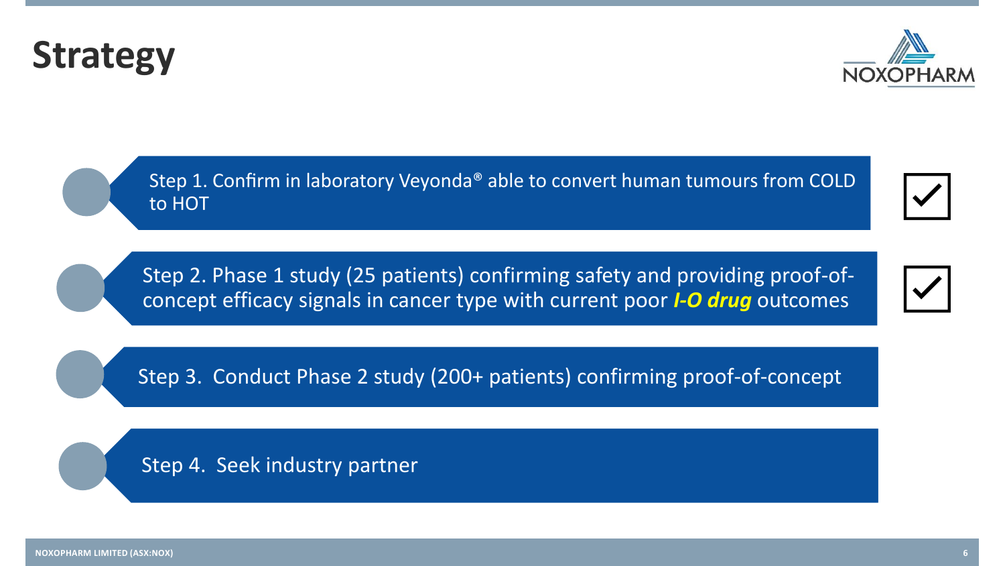Step 4. Seek industry partner

Step 2. Phase 1 study (25 patients) confirming safety and providing proof-ofconcept efficacy signals in cancer type with current poor *I-O drug* outcomes

Step 3. Conduct Phase 2 study (200+ patients) confirming proof-of-concept

Step 1. Confirm in laboratory Veyonda®️ able to convert human tumours from COLD to HOT

### **Strategy**





☑️

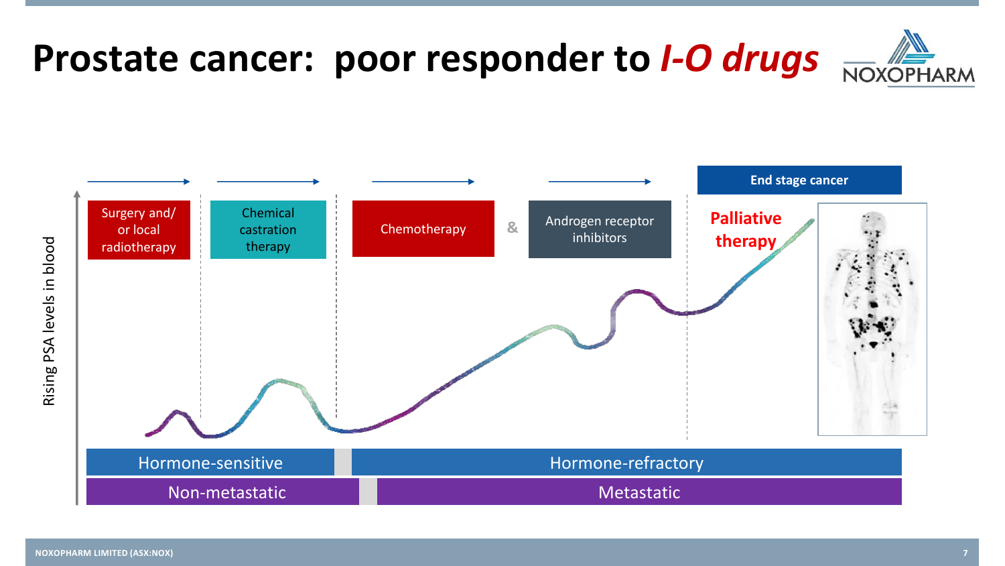

### **Prostate cancer: poor responder to** *I-O drugs*



Rising PSA levels in blood



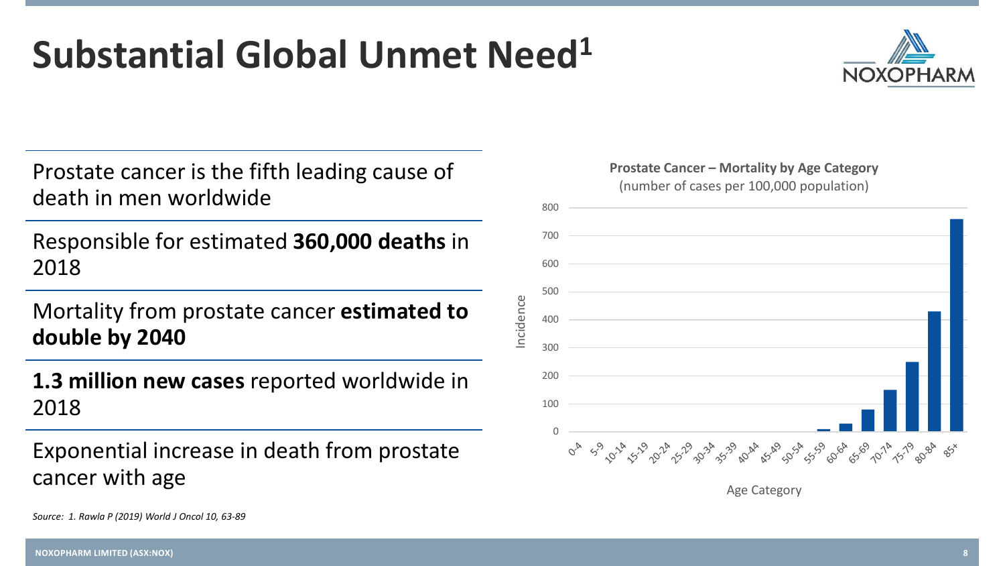#### **NOXOPHARM LIMITED (ASX:NOX) 8**

*Source: 1. Rawla P (2019) World J Oncol 10, 63-89*

### **Substantial Global Unmet Need<sup>1</sup>**

Prostate cancer is the fifth leading cause of death in men worldwide

Responsible for estimated **360,000 deaths** in 2018

Mortality from prostate cancer **estimated to double by 2040** 

**1.3 million new cases** reported worldwide in 2018

Exponential increase in death from prostate cancer with age





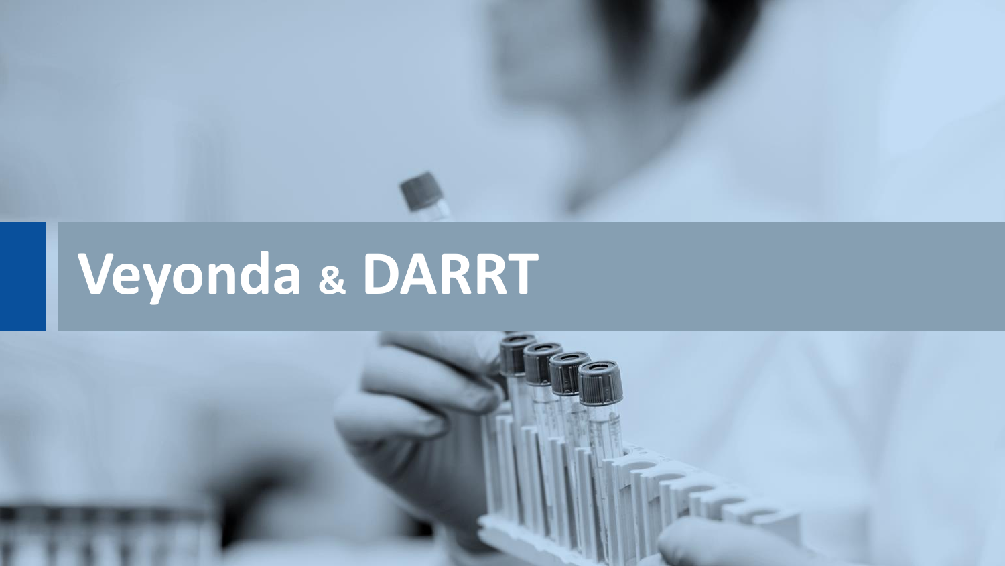

# **Veyonda & DARRT**

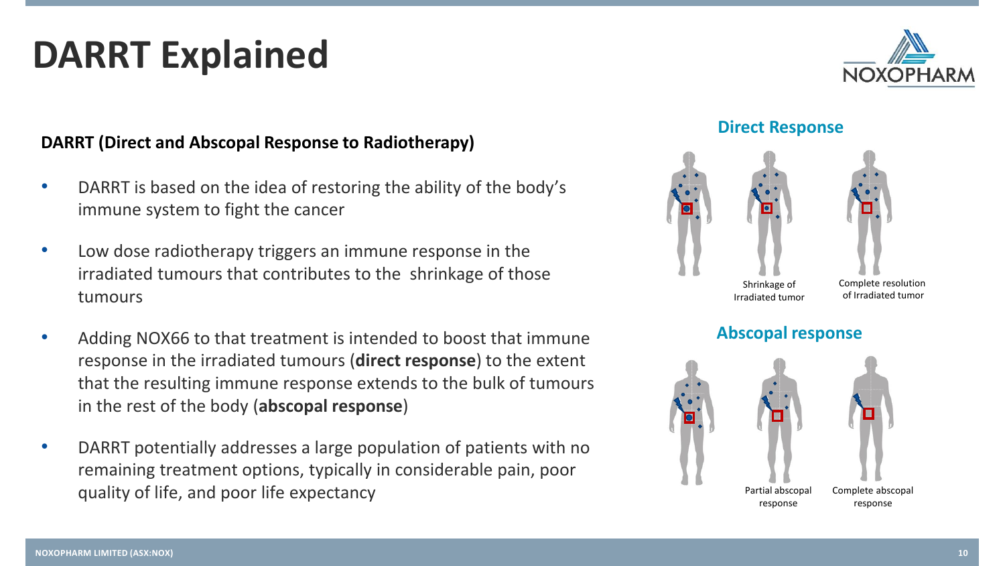### **DARRT Explained**

#### **DARRT (Direct and Abscopal Response to Radiotherapy)**

- DARRT is based on the idea of restoring the ability of the body's immune system to fight the cancer
- Low dose radiotherapy triggers an immune response in the irradiated tumours that contributes to the shrinkage of those tumours
- Adding NOX66 to that treatment is intended to boost that immune response in the irradiated tumours (**direct response**) to the extent that the resulting immune response extends to the bulk of tumours in the rest of the body (**abscopal response**)
- DARRT potentially addresses a large population of patients with no remaining treatment options, typically in considerable pain, poor quality of life, and poor life expectancy



#### **Direct Response**





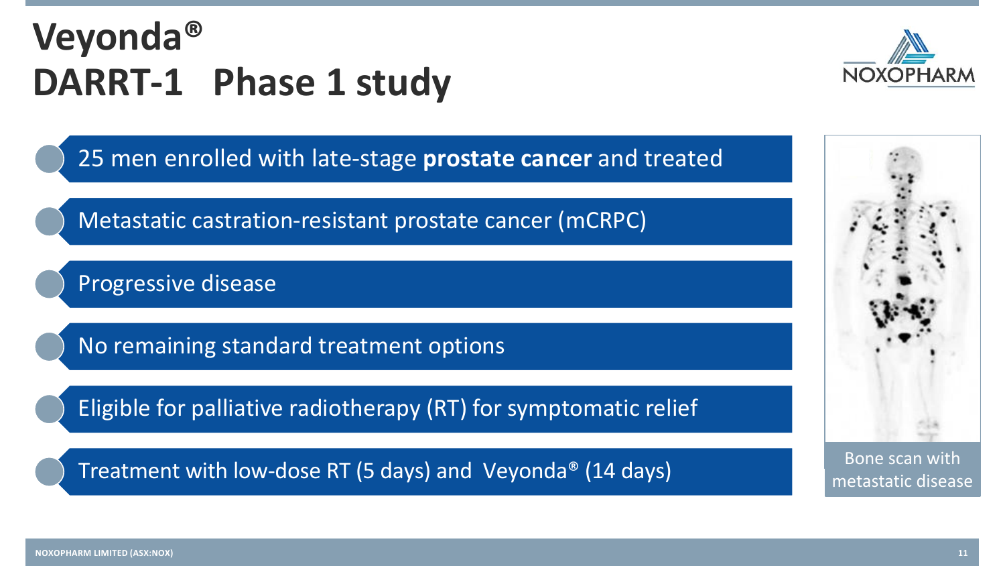## **Veyonda® DARRT-1 Phase 1 study**



25 men enrolled with late-stage **prostate cancer** and treated

Metastatic castration-resistant prostate cancer (mCRPC)

Progressive disease

No remaining standard treatment options

Eligible for palliative radiotherapy (RT) for symptomatic relief

Treatment with low-dose RT (5 days) and Veyonda<sup>®</sup> (14 days) Bone scan with



metastatic disease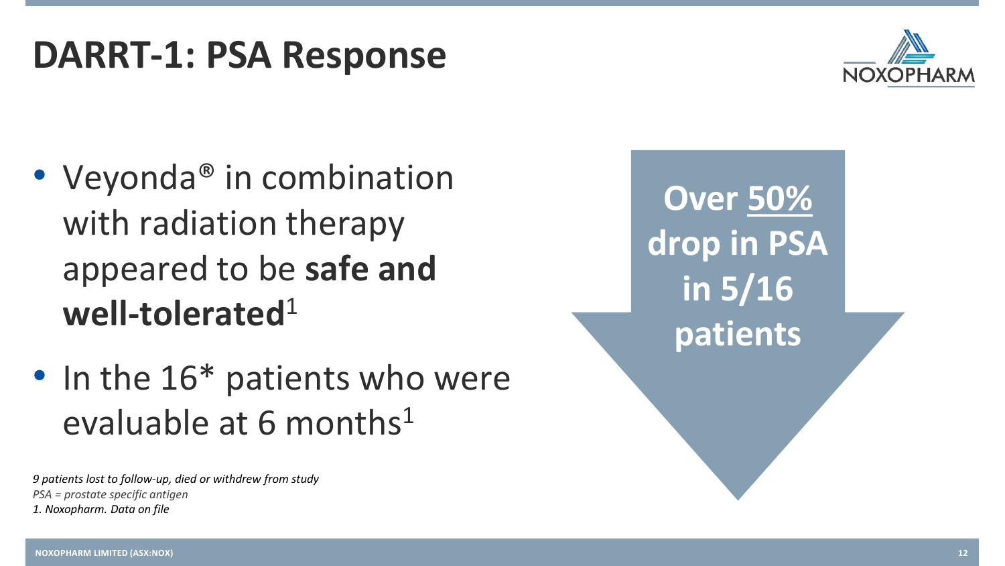### **DARRT-1: PSA Response**



- Veyonda<sup>®</sup> in combination with radiation therapy appeared to be **safe and well-tolerated**<sup>1</sup>
- In the 16\* patients who were evaluable at 6 months $1$

*9 patients lost to follow-up, died or withdrew from study PSA = prostate specific antigen 1. Noxopharm. Data on file*

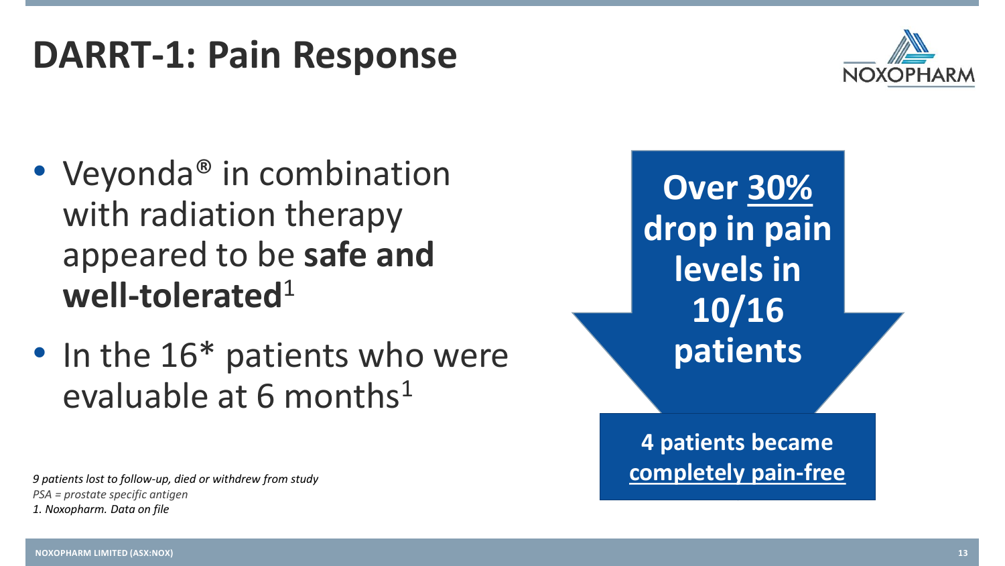### **DARRT-1: Pain Response**



- Veyonda<sup>®</sup> in combination with radiation therapy appeared to be **safe and well-tolerated**<sup>1</sup>
- In the 16<sup>\*</sup> patients who were evaluable at 6 months $1$

*9 patients lost to follow-up, died or withdrew from study PSA = prostate specific antigen 1. Noxopharm. Data on file*

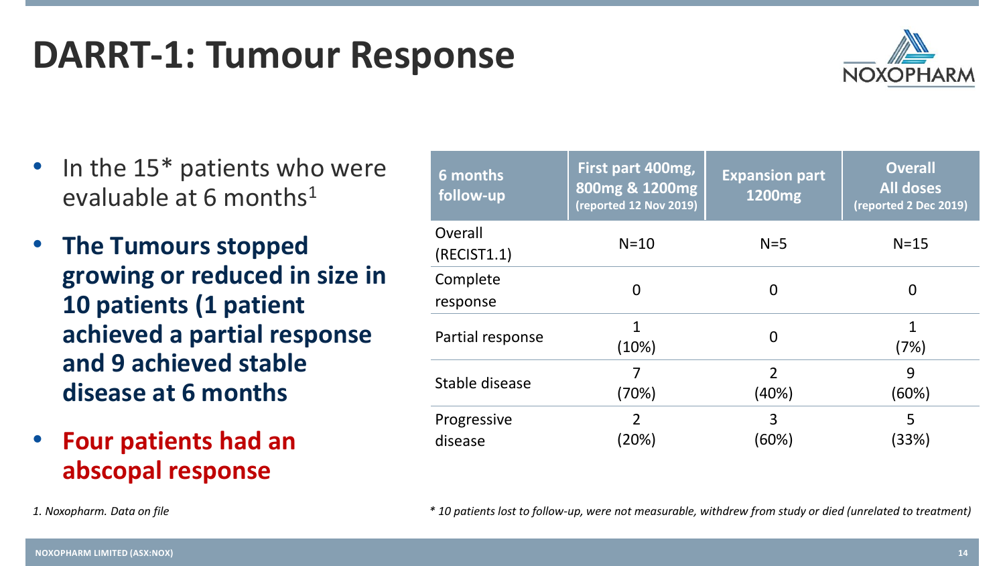### **DARRT-1: Tumour Response**

- In the 15\* patients who were evaluable at 6 months<sup>1</sup>
- **The Tumours stopped growing or reduced in size in 10 patients (1 patient achieved a partial response and 9 achieved stable disease at 6 months**
- **Four patients had an abscopal response**

| 6 months<br>follow-up  | First part 400mg,<br>800mg & 1200mg<br>(reported 12 Nov 2019) | <b>Expansion part</b><br>1200 <sub>mg</sub> | <b>Overall</b><br><b>All doses</b><br>(reported 2 Dec 2019) |
|------------------------|---------------------------------------------------------------|---------------------------------------------|-------------------------------------------------------------|
| Overall<br>(RECIST1.1) | $N=10$                                                        | $N=5$                                       | $N=15$                                                      |
| Complete<br>response   | 0                                                             | 0                                           | O                                                           |
| Partial response       | (10%)                                                         | 0                                           | 1<br>(7%)                                                   |
| Stable disease         | (70%)                                                         | $\overline{2}$<br>(40%)                     | 9<br>(60%)                                                  |
| Progressive<br>disease | $\overline{2}$<br>$\langle 20\% \rangle$                      | 3<br>(60%)                                  | 5<br>(33%)                                                  |

*1. Noxopharm. Data on file \* 10 patients lost to follow-up, were not measurable, withdrew from study or died (unrelated to treatment)*

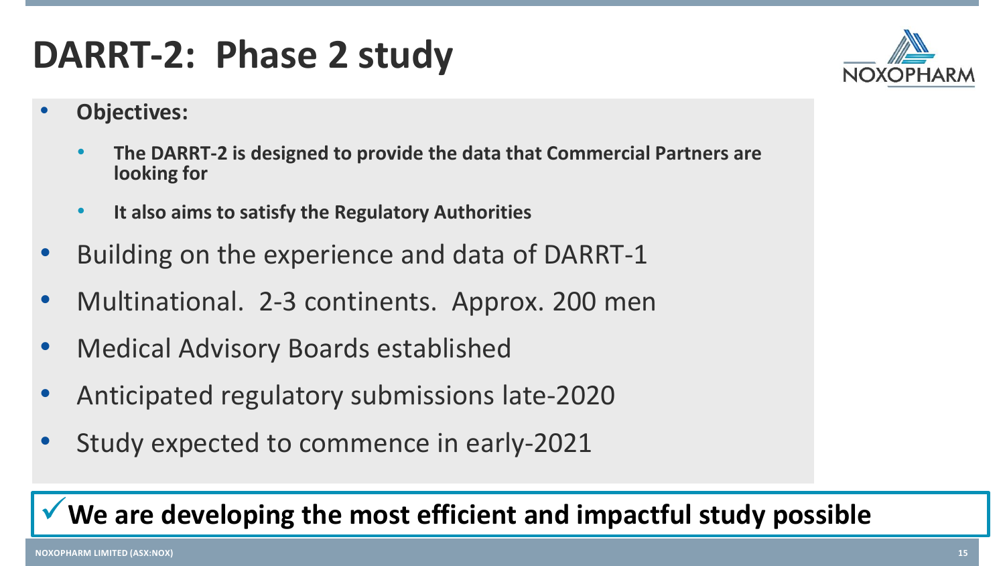### **DARRT-2: Phase 2 study**

- **Objectives:** 
	- **The DARRT-2 is designed to provide the data that Commercial Partners are looking for**
	- **It also aims to satisfy the Regulatory Authorities**
- Building on the experience and data of DARRT-1
- Multinational. 2-3 continents. Approx. 200 men
- Medical Advisory Boards established
- Anticipated regulatory submissions late-2020
- Study expected to commence in early-2021

### ✓**We are developing the most efficient and impactful study possible**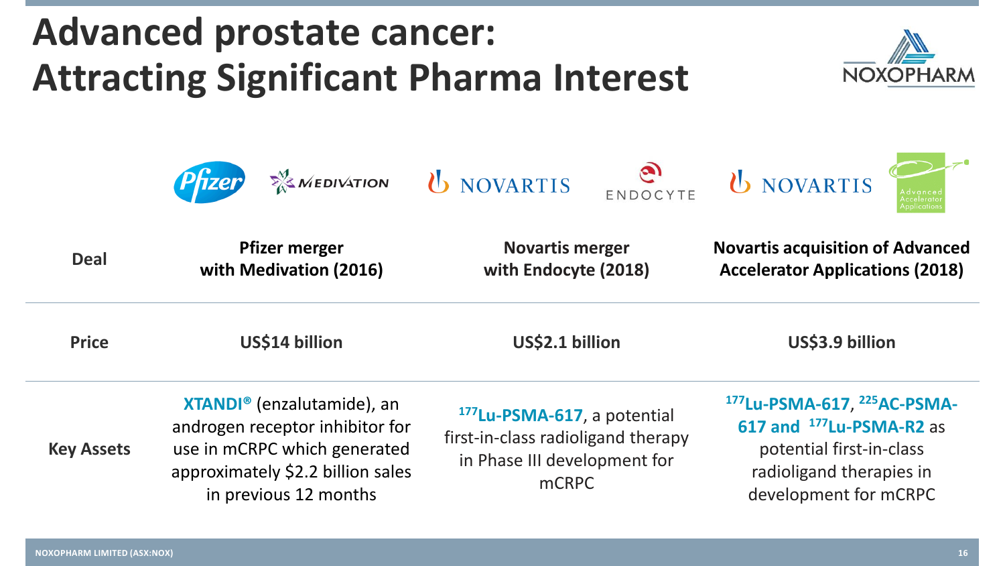approximately \$2.2 billion sales

in previous 12 months





in Phase III development for mCRPC

potential first-in-class radioligand therapies in development for mCRPC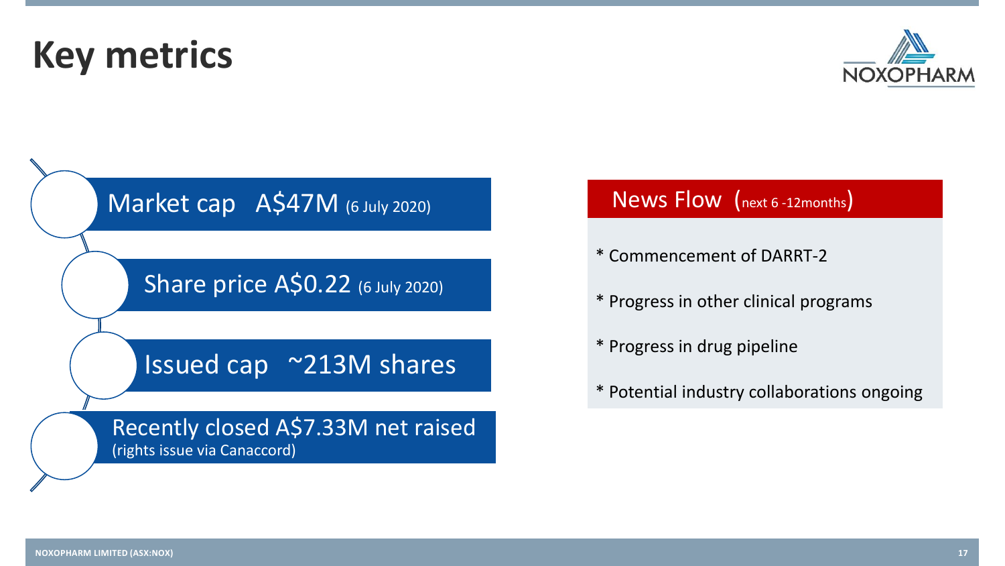**Key metrics**



Share price A\$0.22 (6 July 2020)

### Issued cap ~213M shares

Recently closed A\$7.33M net raised (rights issue via Canaccord)

### News Flow (next 6 -12months)

- \* Commencement of DARRT-2
- \* Progress in other clinical programs
- \* Progress in drug pipeline
- \* Potential industry collaborations ongoing